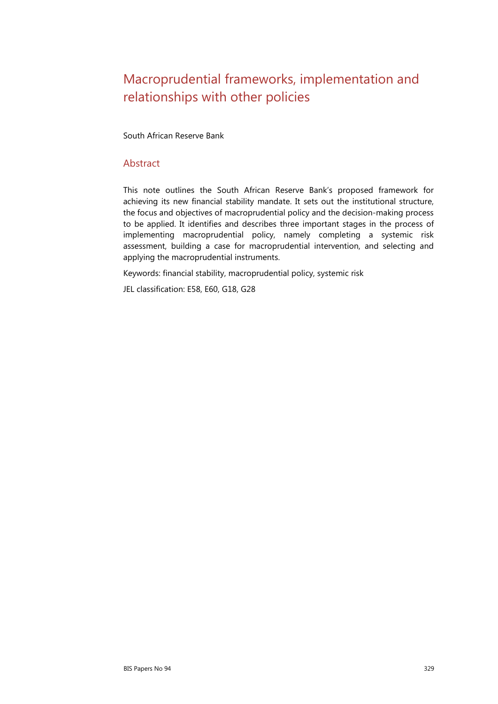# Macroprudential frameworks, implementation and relationships with other policies

South African Reserve Bank

#### Abstract

This note outlines the South African Reserve Bank's proposed framework for achieving its new financial stability mandate. It sets out the institutional structure, the focus and objectives of macroprudential policy and the decision-making process to be applied. It identifies and describes three important stages in the process of implementing macroprudential policy, namely completing a systemic risk assessment, building a case for macroprudential intervention, and selecting and applying the macroprudential instruments.

Keywords: financial stability, macroprudential policy, systemic risk

JEL classification: E58, E60, G18, G28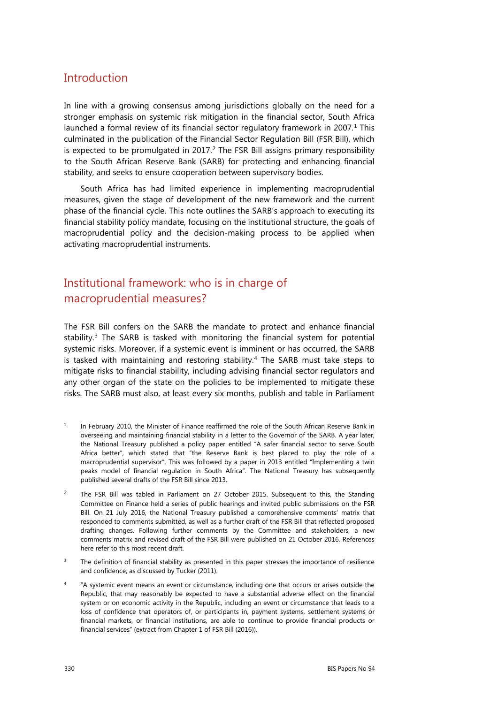### **Introduction**

In line with a growing consensus among jurisdictions globally on the need for a stronger emphasis on systemic risk mitigation in the financial sector, South Africa launched a formal review of its financial sector regulatory framework in 2007. $<sup>1</sup>$  $<sup>1</sup>$  $<sup>1</sup>$  This</sup> culminated in the publication of the Financial Sector Regulation Bill (FSR Bill), which is expected to be promulgated in [2](#page-1-1)017. $^2$  The FSR Bill assigns primary responsibility to the South African Reserve Bank (SARB) for protecting and enhancing financial stability, and seeks to ensure cooperation between supervisory bodies.

South Africa has had limited experience in implementing macroprudential measures, given the stage of development of the new framework and the current phase of the financial cycle. This note outlines the SARB's approach to executing its financial stability policy mandate, focusing on the institutional structure, the goals of macroprudential policy and the decision-making process to be applied when activating macroprudential instruments.

# Institutional framework: who is in charge of macroprudential measures?

The FSR Bill confers on the SARB the mandate to protect and enhance financial stability. $3$  The SARB is tasked with monitoring the financial system for potential systemic risks. Moreover, if a systemic event is imminent or has occurred, the SARB is tasked with maintaining and restoring stability.<sup>[4](#page-1-3)</sup> The SARB must take steps to mitigate risks to financial stability, including advising financial sector regulators and any other organ of the state on the policies to be implemented to mitigate these risks. The SARB must also, at least every six months, publish and table in Parliament

- <span id="page-1-0"></span>In February 2010, the Minister of Finance reaffirmed the role of the South African Reserve Bank in overseeing and maintaining financial stability in a letter to the Governor of the SARB. A year later, the National Treasury published a policy paper entitled "A safer financial sector to serve South Africa better", which stated that "the Reserve Bank is best placed to play the role of a macroprudential supervisor". This was followed by a paper in 2013 entitled "Implementing a twin peaks model of financial regulation in South Africa". The National Treasury has subsequently published several drafts of the FSR Bill since 2013.
- <span id="page-1-1"></span><sup>2</sup> The FSR Bill was tabled in Parliament on 27 October 2015. Subsequent to this, the Standing Committee on Finance held a series of public hearings and invited public submissions on the FSR Bill. On 21 July 2016, the National Treasury published a comprehensive comments' matrix that responded to comments submitted, as well as a further draft of the FSR Bill that reflected proposed drafting changes. Following further comments by the Committee and stakeholders, a new comments matrix and revised draft of the FSR Bill were published on 21 October 2016. References here refer to this most recent draft.
- <span id="page-1-2"></span>The definition of financial stability as presented in this paper stresses the importance of resilience and confidence, as discussed by Tucker (2011).
- <span id="page-1-3"></span><sup>4</sup> "A systemic event means an event or circumstance, including one that occurs or arises outside the Republic, that may reasonably be expected to have a substantial adverse effect on the financial system or on economic activity in the Republic, including an event or circumstance that leads to a loss of confidence that operators of, or participants in, payment systems, settlement systems or financial markets, or financial institutions, are able to continue to provide financial products or financial services" (extract from Chapter 1 of FSR Bill (2016)).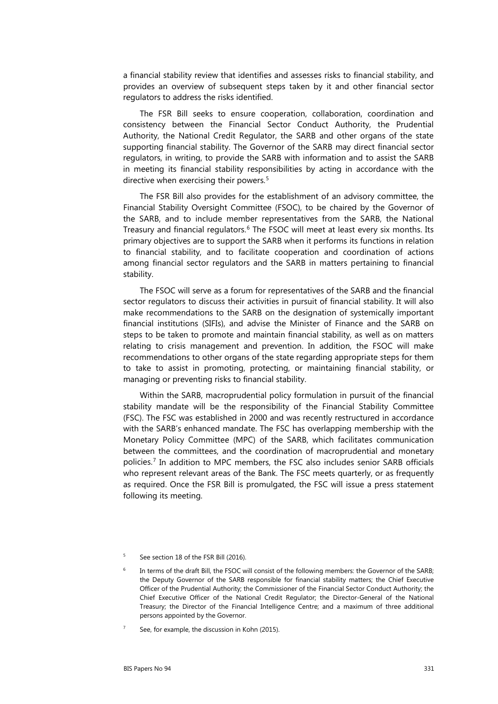a financial stability review that identifies and assesses risks to financial stability, and provides an overview of subsequent steps taken by it and other financial sector regulators to address the risks identified.

The FSR Bill seeks to ensure cooperation, collaboration, coordination and consistency between the Financial Sector Conduct Authority, the Prudential Authority, the National Credit Regulator, the SARB and other organs of the state supporting financial stability. The Governor of the SARB may direct financial sector regulators, in writing, to provide the SARB with information and to assist the SARB in meeting its financial stability responsibilities by acting in accordance with the directive when exercising their powers.<sup>[5](#page-2-0)</sup>

The FSR Bill also provides for the establishment of an advisory committee, the Financial Stability Oversight Committee (FSOC), to be chaired by the Governor of the SARB, and to include member representatives from the SARB, the National Treasury and financial regulators.<sup>[6](#page-2-1)</sup> The FSOC will meet at least every six months. Its primary objectives are to support the SARB when it performs its functions in relation to financial stability, and to facilitate cooperation and coordination of actions among financial sector regulators and the SARB in matters pertaining to financial stability.

The FSOC will serve as a forum for representatives of the SARB and the financial sector regulators to discuss their activities in pursuit of financial stability. It will also make recommendations to the SARB on the designation of systemically important financial institutions (SIFIs), and advise the Minister of Finance and the SARB on steps to be taken to promote and maintain financial stability, as well as on matters relating to crisis management and prevention. In addition, the FSOC will make recommendations to other organs of the state regarding appropriate steps for them to take to assist in promoting, protecting, or maintaining financial stability, or managing or preventing risks to financial stability.

Within the SARB, macroprudential policy formulation in pursuit of the financial stability mandate will be the responsibility of the Financial Stability Committee (FSC). The FSC was established in 2000 and was recently restructured in accordance with the SARB's enhanced mandate. The FSC has overlapping membership with the Monetary Policy Committee (MPC) of the SARB, which facilitates communication between the committees, and the coordination of macroprudential and monetary policies.[7](#page-2-2) In addition to MPC members, the FSC also includes senior SARB officials who represent relevant areas of the Bank. The FSC meets quarterly, or as frequently as required. Once the FSR Bill is promulgated, the FSC will issue a press statement following its meeting.

<span id="page-2-2"></span>See, for example, the discussion in Kohn (2015).

<span id="page-2-0"></span><sup>&</sup>lt;sup>5</sup> See section 18 of the FSR Bill (2016).

<span id="page-2-1"></span>In terms of the draft Bill, the FSOC will consist of the following members: the Governor of the SARB; the Deputy Governor of the SARB responsible for financial stability matters; the Chief Executive Officer of the Prudential Authority; the Commissioner of the Financial Sector Conduct Authority; the Chief Executive Officer of the National Credit Regulator; the Director-General of the National Treasury; the Director of the Financial Intelligence Centre; and a maximum of three additional persons appointed by the Governor.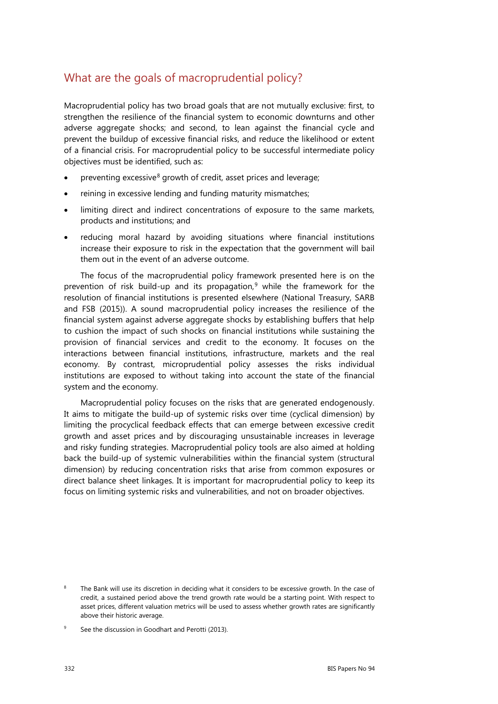### What are the goals of macroprudential policy?

Macroprudential policy has two broad goals that are not mutually exclusive: first, to strengthen the resilience of the financial system to economic downturns and other adverse aggregate shocks; and second, to lean against the financial cycle and prevent the buildup of excessive financial risks, and reduce the likelihood or extent of a financial crisis. For macroprudential policy to be successful intermediate policy objectives must be identified, such as:

- preventing excessive<sup>[8](#page-3-0)</sup> growth of credit, asset prices and leverage;
- reining in excessive lending and funding maturity mismatches;
- limiting direct and indirect concentrations of exposure to the same markets, products and institutions; and
- reducing moral hazard by avoiding situations where financial institutions increase their exposure to risk in the expectation that the government will bail them out in the event of an adverse outcome.

The focus of the macroprudential policy framework presented here is on the prevention of risk build-up and its propagation,<sup>[9](#page-3-1)</sup> while the framework for the resolution of financial institutions is presented elsewhere (National Treasury, SARB and FSB (2015)). A sound macroprudential policy increases the resilience of the financial system against adverse aggregate shocks by establishing buffers that help to cushion the impact of such shocks on financial institutions while sustaining the provision of financial services and credit to the economy. It focuses on the interactions between financial institutions, infrastructure, markets and the real economy. By contrast, microprudential policy assesses the risks individual institutions are exposed to without taking into account the state of the financial system and the economy.

Macroprudential policy focuses on the risks that are generated endogenously. It aims to mitigate the build-up of systemic risks over time (cyclical dimension) by limiting the procyclical feedback effects that can emerge between excessive credit growth and asset prices and by discouraging unsustainable increases in leverage and risky funding strategies. Macroprudential policy tools are also aimed at holding back the build-up of systemic vulnerabilities within the financial system (structural dimension) by reducing concentration risks that arise from common exposures or direct balance sheet linkages. It is important for macroprudential policy to keep its focus on limiting systemic risks and vulnerabilities, and not on broader objectives.

<span id="page-3-0"></span>The Bank will use its discretion in deciding what it considers to be excessive growth. In the case of credit, a sustained period above the trend growth rate would be a starting point. With respect to asset prices, different valuation metrics will be used to assess whether growth rates are significantly above their historic average.

<span id="page-3-1"></span>See the discussion in Goodhart and Perotti (2013).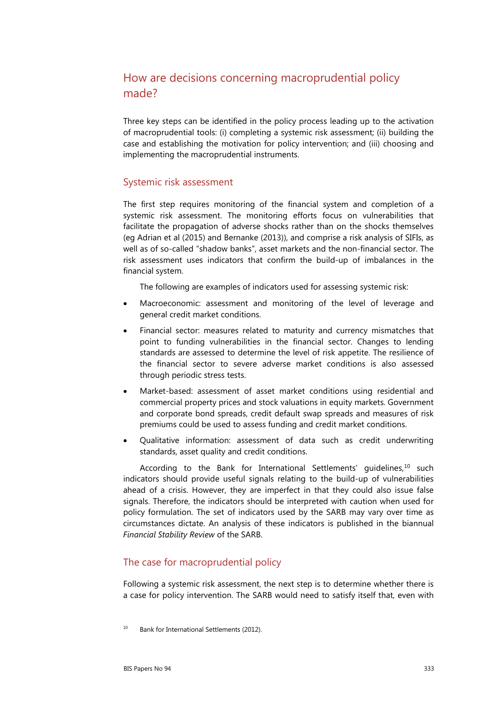## How are decisions concerning macroprudential policy made?

Three key steps can be identified in the policy process leading up to the activation of macroprudential tools: (i) completing a systemic risk assessment; (ii) building the case and establishing the motivation for policy intervention; and (iii) choosing and implementing the macroprudential instruments.

#### Systemic risk assessment

The first step requires monitoring of the financial system and completion of a systemic risk assessment. The monitoring efforts focus on vulnerabilities that facilitate the propagation of adverse shocks rather than on the shocks themselves (eg Adrian et al (2015) and Bernanke (2013)), and comprise a risk analysis of SIFIs, as well as of so-called "shadow banks", asset markets and the non-financial sector. The risk assessment uses indicators that confirm the build-up of imbalances in the financial system.

The following are examples of indicators used for assessing systemic risk:

- Macroeconomic: assessment and monitoring of the level of leverage and general credit market conditions.
- Financial sector: measures related to maturity and currency mismatches that point to funding vulnerabilities in the financial sector. Changes to lending standards are assessed to determine the level of risk appetite. The resilience of the financial sector to severe adverse market conditions is also assessed through periodic stress tests.
- Market-based: assessment of asset market conditions using residential and commercial property prices and stock valuations in equity markets. Government and corporate bond spreads, credit default swap spreads and measures of risk premiums could be used to assess funding and credit market conditions.
- Qualitative information: assessment of data such as credit underwriting standards, asset quality and credit conditions.

According to the Bank for International Settlements' guidelines,<sup>[10](#page-4-0)</sup> such indicators should provide useful signals relating to the build-up of vulnerabilities ahead of a crisis. However, they are imperfect in that they could also issue false signals. Therefore, the indicators should be interpreted with caution when used for policy formulation. The set of indicators used by the SARB may vary over time as circumstances dictate. An analysis of these indicators is published in the biannual *Financial Stability Review* of the SARB.

#### The case for macroprudential policy

Following a systemic risk assessment, the next step is to determine whether there is a case for policy intervention. The SARB would need to satisfy itself that, even with

<span id="page-4-0"></span><sup>&</sup>lt;sup>10</sup> Bank for International Settlements (2012).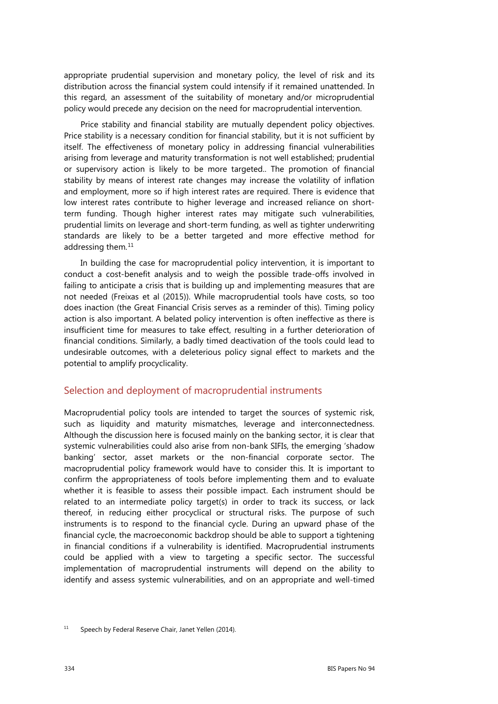appropriate prudential supervision and monetary policy, the level of risk and its distribution across the financial system could intensify if it remained unattended. In this regard, an assessment of the suitability of monetary and/or microprudential policy would precede any decision on the need for macroprudential intervention.

Price stability and financial stability are mutually dependent policy objectives. Price stability is a necessary condition for financial stability, but it is not sufficient by itself. The effectiveness of monetary policy in addressing financial vulnerabilities arising from leverage and maturity transformation is not well established; prudential or supervisory action is likely to be more targeted.. The promotion of financial stability by means of interest rate changes may increase the volatility of inflation and employment, more so if high interest rates are required. There is evidence that low interest rates contribute to higher leverage and increased reliance on shortterm funding. Though higher interest rates may mitigate such vulnerabilities, prudential limits on leverage and short-term funding, as well as tighter underwriting standards are likely to be a better targeted and more effective method for addressing them.<sup>[11](#page-5-0)</sup>

In building the case for macroprudential policy intervention, it is important to conduct a cost-benefit analysis and to weigh the possible trade-offs involved in failing to anticipate a crisis that is building up and implementing measures that are not needed (Freixas et al (2015)). While macroprudential tools have costs, so too does inaction (the Great Financial Crisis serves as a reminder of this). Timing policy action is also important. A belated policy intervention is often ineffective as there is insufficient time for measures to take effect, resulting in a further deterioration of financial conditions. Similarly, a badly timed deactivation of the tools could lead to undesirable outcomes, with a deleterious policy signal effect to markets and the potential to amplify procyclicality.

#### Selection and deployment of macroprudential instruments

Macroprudential policy tools are intended to target the sources of systemic risk, such as liquidity and maturity mismatches, leverage and interconnectedness. Although the discussion here is focused mainly on the banking sector, it is clear that systemic vulnerabilities could also arise from non-bank SIFIs, the emerging 'shadow banking' sector, asset markets or the non-financial corporate sector. The macroprudential policy framework would have to consider this. It is important to confirm the appropriateness of tools before implementing them and to evaluate whether it is feasible to assess their possible impact. Each instrument should be related to an intermediate policy target(s) in order to track its success, or lack thereof, in reducing either procyclical or structural risks. The purpose of such instruments is to respond to the financial cycle. During an upward phase of the financial cycle, the macroeconomic backdrop should be able to support a tightening in financial conditions if a vulnerability is identified. Macroprudential instruments could be applied with a view to targeting a specific sector. The successful implementation of macroprudential instruments will depend on the ability to identify and assess systemic vulnerabilities, and on an appropriate and well-timed

<span id="page-5-0"></span><sup>&</sup>lt;sup>11</sup> Speech by Federal Reserve Chair, Janet Yellen (2014).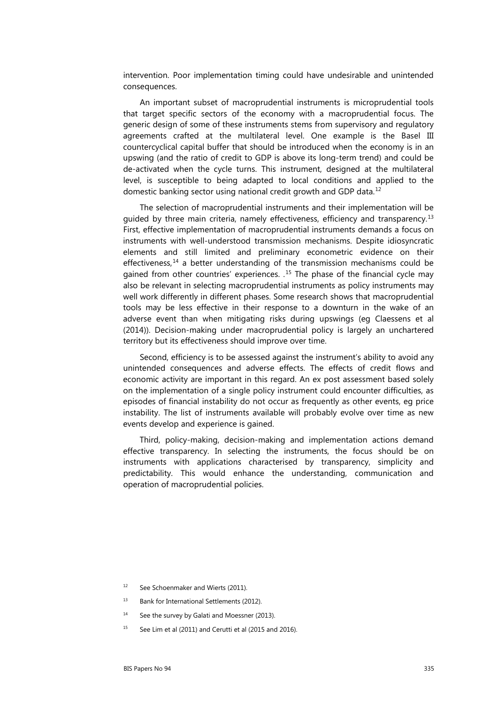intervention. Poor implementation timing could have undesirable and unintended consequences.

An important subset of macroprudential instruments is microprudential tools that target specific sectors of the economy with a macroprudential focus. The generic design of some of these instruments stems from supervisory and regulatory agreements crafted at the multilateral level. One example is the Basel III countercyclical capital buffer that should be introduced when the economy is in an upswing (and the ratio of credit to GDP is above its long-term trend) and could be de-activated when the cycle turns. This instrument, designed at the multilateral level, is susceptible to being adapted to local conditions and applied to the domestic banking sector using national credit growth and GDP data.[12](#page-6-0)

The selection of macroprudential instruments and their implementation will be guided by three main criteria, namely effectiveness, efficiency and transparency. [13](#page-6-1) First, effective implementation of macroprudential instruments demands a focus on instruments with well-understood transmission mechanisms. Despite idiosyncratic elements and still limited and preliminary econometric evidence on their effectiveness, [14](#page-6-2) a better understanding of the transmission mechanisms could be gained from other countries' experiences. . [15](#page-6-3) The phase of the financial cycle may also be relevant in selecting macroprudential instruments as policy instruments may well work differently in different phases. Some research shows that macroprudential tools may be less effective in their response to a downturn in the wake of an adverse event than when mitigating risks during upswings (eg Claessens et al (2014)). Decision-making under macroprudential policy is largely an unchartered territory but its effectiveness should improve over time.

Second, efficiency is to be assessed against the instrument's ability to avoid any unintended consequences and adverse effects. The effects of credit flows and economic activity are important in this regard. An ex post assessment based solely on the implementation of a single policy instrument could encounter difficulties, as episodes of financial instability do not occur as frequently as other events, eg price instability. The list of instruments available will probably evolve over time as new events develop and experience is gained.

Third, policy-making, decision-making and implementation actions demand effective transparency. In selecting the instruments, the focus should be on instruments with applications characterised by transparency, simplicity and predictability. This would enhance the understanding, communication and operation of macroprudential policies.

- <span id="page-6-0"></span><sup>12</sup> See Schoenmaker and Wierts (2011).
- <span id="page-6-1"></span><sup>13</sup> Bank for International Settlements (2012).
- <span id="page-6-2"></span><sup>14</sup> See the survey by Galati and Moessner (2013).
- <span id="page-6-3"></span> $15$  See Lim et al (2011) and Cerutti et al (2015 and 2016).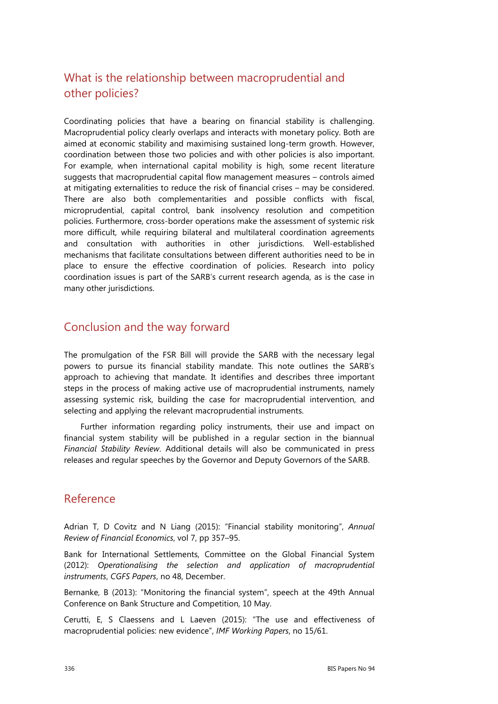# What is the relationship between macroprudential and other policies?

Coordinating policies that have a bearing on financial stability is challenging. Macroprudential policy clearly overlaps and interacts with monetary policy. Both are aimed at economic stability and maximising sustained long-term growth. However, coordination between those two policies and with other policies is also important. For example, when international capital mobility is high, some recent literature suggests that macroprudential capital flow management measures – controls aimed at mitigating externalities to reduce the risk of financial crises – may be considered. There are also both complementarities and possible conflicts with fiscal, microprudential, capital control, bank insolvency resolution and competition policies. Furthermore, cross-border operations make the assessment of systemic risk more difficult, while requiring bilateral and multilateral coordination agreements and consultation with authorities in other jurisdictions. Well-established mechanisms that facilitate consultations between different authorities need to be in place to ensure the effective coordination of policies. Research into policy coordination issues is part of the SARB's current research agenda, as is the case in many other jurisdictions.

### Conclusion and the way forward

The promulgation of the FSR Bill will provide the SARB with the necessary legal powers to pursue its financial stability mandate. This note outlines the SARB's approach to achieving that mandate. It identifies and describes three important steps in the process of making active use of macroprudential instruments, namely assessing systemic risk, building the case for macroprudential intervention, and selecting and applying the relevant macroprudential instruments.

Further information regarding policy instruments, their use and impact on financial system stability will be published in a regular section in the biannual *Financial Stability Review*. Additional details will also be communicated in press releases and regular speeches by the Governor and Deputy Governors of the SARB.

### Reference

Adrian T, D Covitz and N Liang (2015): "Financial stability monitoring", *Annual Review of Financial Economics*, vol 7, pp 357–95.

Bank for International Settlements, Committee on the Global Financial System (2012): *Operationalising the selection and application of macroprudential instruments*, *CGFS Papers*, no 48, December.

Bernanke, B (2013): "Monitoring the financial system", speech at the 49th Annual Conference on Bank Structure and Competition, 10 May.

Cerutti, E, S Claessens and L Laeven (2015): "The use and effectiveness of macroprudential policies: new evidence", *IMF Working Papers*, no 15/61.